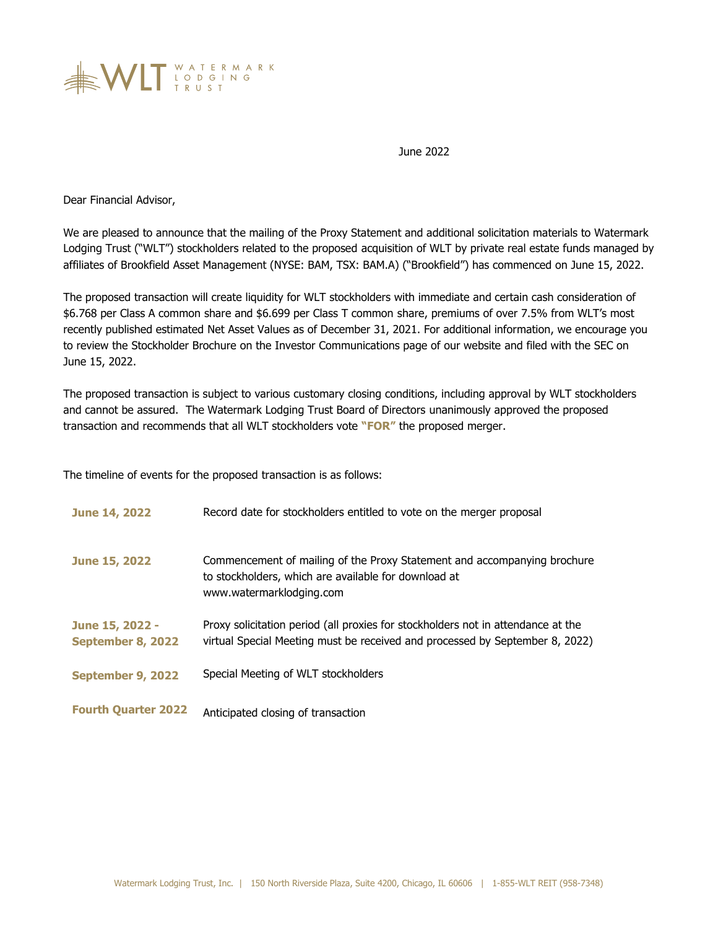

June 2022

Dear Financial Advisor,

We are pleased to announce that the mailing of the Proxy Statement and additional solicitation materials to Watermark Lodging Trust ("WLT") stockholders related to the proposed acquisition of WLT by private real estate funds managed by affiliates of Brookfield Asset Management (NYSE: BAM, TSX: BAM.A) ("Brookfield") has commenced on June 15, 2022.

The proposed transaction will create liquidity for WLT stockholders with immediate and certain cash consideration of \$6.768 per Class A common share and \$6.699 per Class T common share, premiums of over 7.5% from WLT's most recently published estimated Net Asset Values as of December 31, 2021. For additional information, we encourage you to review the Stockholder Brochure on the Investor Communications page of our website and filed with the SEC on June 15, 2022.

The proposed transaction is subject to various customary closing conditions, including approval by WLT stockholders and cannot be assured. The Watermark Lodging Trust Board of Directors unanimously approved the proposed transaction and recommends that all WLT stockholders vote **"FOR"** the proposed merger.

The timeline of events for the proposed transaction is as follows:

| <b>June 14, 2022</b>                 | Record date for stockholders entitled to vote on the merger proposal                                                                                             |
|--------------------------------------|------------------------------------------------------------------------------------------------------------------------------------------------------------------|
| <b>June 15, 2022</b>                 | Commencement of mailing of the Proxy Statement and accompanying brochure<br>to stockholders, which are available for download at<br>www.watermarklodging.com     |
| June 15, 2022 -<br>September 8, 2022 | Proxy solicitation period (all proxies for stockholders not in attendance at the<br>virtual Special Meeting must be received and processed by September 8, 2022) |
| September 9, 2022                    | Special Meeting of WLT stockholders                                                                                                                              |
| <b>Fourth Quarter 2022</b>           | Anticipated closing of transaction                                                                                                                               |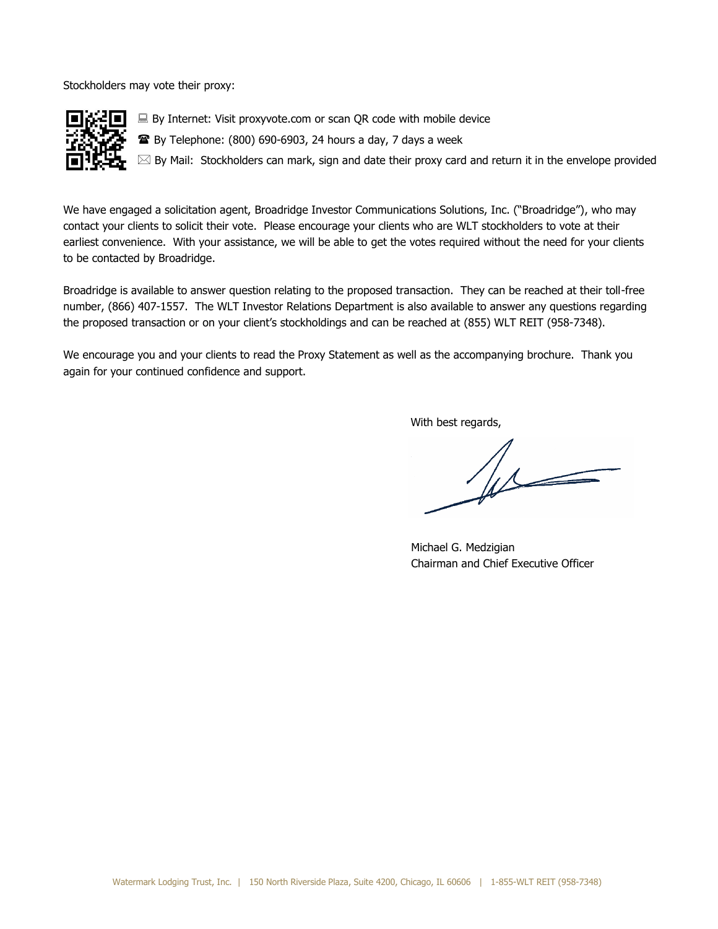Stockholders may vote their proxy:



We have engaged a solicitation agent, Broadridge Investor Communications Solutions, Inc. ("Broadridge"), who may contact your clients to solicit their vote. Please encourage your clients who are WLT stockholders to vote at their earliest convenience. With your assistance, we will be able to get the votes required without the need for your clients to be contacted by Broadridge.

Broadridge is available to answer question relating to the proposed transaction. They can be reached at their toll-free number, (866) 407-1557. The WLT Investor Relations Department is also available to answer any questions regarding the proposed transaction or on your client's stockholdings and can be reached at (855) WLT REIT (958-7348).

We encourage you and your clients to read the Proxy Statement as well as the accompanying brochure. Thank you again for your continued confidence and support.

With best regards,

 $\sqrt{11}$ 

Michael G. Medzigian Chairman and Chief Executive Officer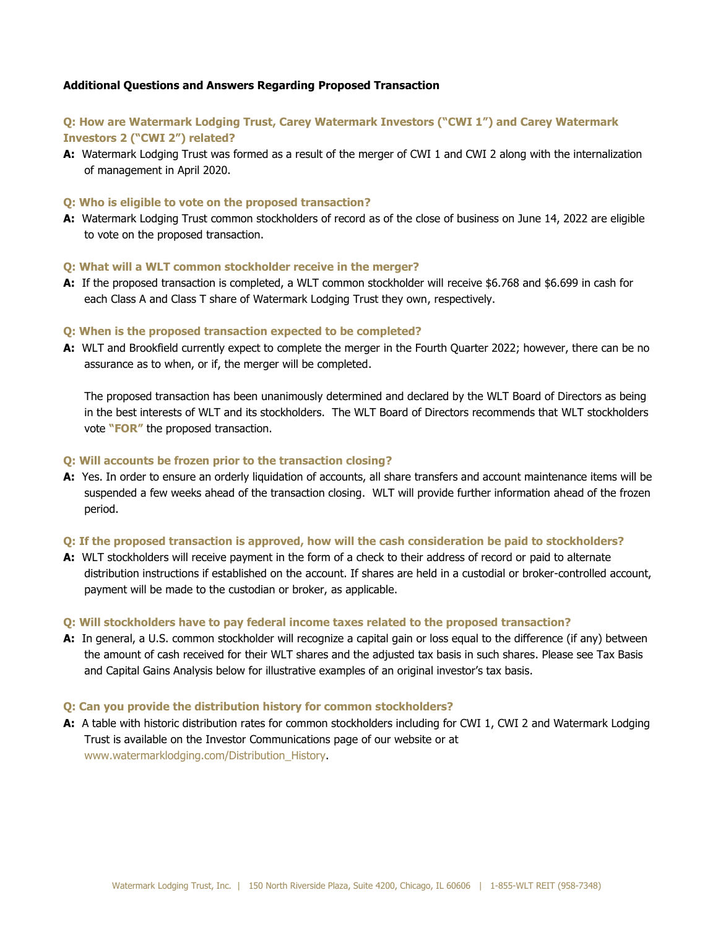# **Additional Questions and Answers Regarding Proposed Transaction**

# **Q: How are Watermark Lodging Trust, Carey Watermark Investors ("CWI 1") and Carey Watermark Investors 2 ("CWI 2") related?**

**A:** Watermark Lodging Trust was formed as a result of the merger of CWI 1 and CWI 2 along with the internalization of management in April 2020.

### **Q: Who is eligible to vote on the proposed transaction?**

**A:** Watermark Lodging Trust common stockholders of record as of the close of business on June 14, 2022 are eligible to vote on the proposed transaction.

### **Q: What will a WLT common stockholder receive in the merger?**

**A:** If the proposed transaction is completed, a WLT common stockholder will receive \$6.768 and \$6.699 in cash for each Class A and Class T share of Watermark Lodging Trust they own, respectively.

#### **Q: When is the proposed transaction expected to be completed?**

**A:** WLT and Brookfield currently expect to complete the merger in the Fourth Quarter 2022; however, there can be no assurance as to when, or if, the merger will be completed.

The proposed transaction has been unanimously determined and declared by the WLT Board of Directors as being in the best interests of WLT and its stockholders. The WLT Board of Directors recommends that WLT stockholders vote **"FOR"** the proposed transaction.

#### **Q: Will accounts be frozen prior to the transaction closing?**

**A:** Yes. In order to ensure an orderly liquidation of accounts, all share transfers and account maintenance items will be suspended a few weeks ahead of the transaction closing. WLT will provide further information ahead of the frozen period.

# **Q: If the proposed transaction is approved, how will the cash consideration be paid to stockholders?**

**A:** WLT stockholders will receive payment in the form of a check to their address of record or paid to alternate distribution instructions if established on the account. If shares are held in a custodial or broker-controlled account, payment will be made to the custodian or broker, as applicable.

#### **Q: Will stockholders have to pay federal income taxes related to the proposed transaction?**

**A:** In general, a U.S. common stockholder will recognize a capital gain or loss equal to the difference (if any) between the amount of cash received for their WLT shares and the adjusted tax basis in such shares. Please see Tax Basis and Capital Gains Analysis below for illustrative examples of an original investor's tax basis.

#### **Q: Can you provide the distribution history for common stockholders?**

**A:** A table with historic distribution rates for common stockholders including for CWI 1, CWI 2 and Watermark Lodging Trust is available on the Investor Communications page of our website or at [www.watermarklodging.com/Distribution\\_History.](http://www.watermarklodging.com/Distribution_History)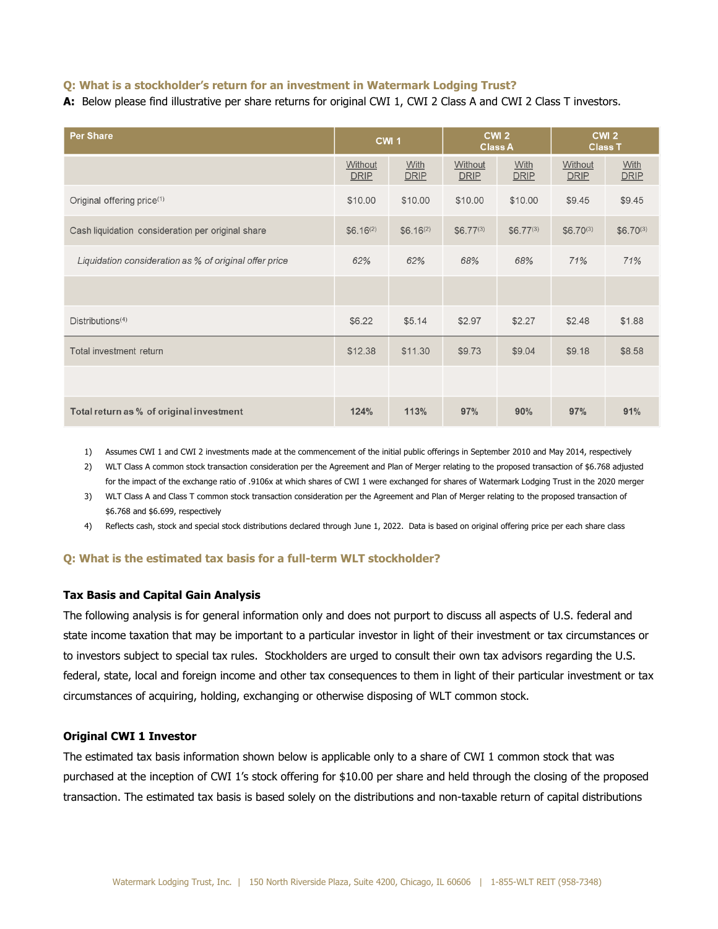# **Q: What is a stockholder's return for an investment in Watermark Lodging Trust?**

**A:** Below please find illustrative per share returns for original CWI 1, CWI 2 Class A and CWI 2 Class T investors.

| Per Share                                              | <b>CWI1</b>            |                     | CWI <sub>2</sub><br><b>Class A</b> |                     | CWI <sub>2</sub><br><b>Class T</b> |                            |
|--------------------------------------------------------|------------------------|---------------------|------------------------------------|---------------------|------------------------------------|----------------------------|
|                                                        | Without<br><b>DRIP</b> | With<br><b>DRIP</b> | Without<br><b>DRIP</b>             | With<br><b>DRIP</b> | Without<br><b>DRIP</b>             | <b>With</b><br><b>DRIP</b> |
| Original offering price <sup>(1)</sup>                 | \$10.00                | \$10.00             | \$10.00                            | \$10.00             | \$9.45                             | \$9.45                     |
| Cash liquidation consideration per original share      | $$6.16^{(2)}$$         | $$6.16^{(2)}$$      | $$6.77^{(3)}$                      | $$6.77^{(3)}$$      | $$6.70^{(3)}$$                     | $$6.70^{(3)}$$             |
| Liquidation consideration as % of original offer price | 62%                    | 62%                 | 68%                                | 68%                 | 71%                                | 71%                        |
|                                                        |                        |                     |                                    |                     |                                    |                            |
| Distributions <sup>(4)</sup>                           | \$6.22                 | \$5.14              | \$2.97                             | \$2.27              | \$2.48                             | \$1.88                     |
| Total investment return                                | \$12.38                | \$11.30             | \$9.73                             | \$9.04              | \$9.18                             | \$8.58                     |
|                                                        |                        |                     |                                    |                     |                                    |                            |
| Total return as % of original investment               | 124%                   | 113%                | 97%                                | 90%                 | 97%                                | 91%                        |

1) Assumes CWI 1 and CWI 2 investments made at the commencement of the initial public offerings in September 2010 and May 2014, respectively

2) WLT Class A common stock transaction consideration per the Agreement and Plan of Merger relating to the proposed transaction of \$6.768 adjusted for the impact of the exchange ratio of .9106x at which shares of CWI 1 were exchanged for shares of Watermark Lodging Trust in the 2020 merger

3) WLT Class A and Class T common stock transaction consideration per the Agreement and Plan of Merger relating to the proposed transaction of \$6.768 and \$6.699, respectively

4) Reflects cash, stock and special stock distributions declared through June 1, 2022. Data is based on original offering price per each share class

### **Q: What is the estimated tax basis for a full-term WLT stockholder?**

# **Tax Basis and Capital Gain Analysis**

The following analysis is for general information only and does not purport to discuss all aspects of U.S. federal and state income taxation that may be important to a particular investor in light of their investment or tax circumstances or to investors subject to special tax rules. Stockholders are urged to consult their own tax advisors regarding the U.S. federal, state, local and foreign income and other tax consequences to them in light of their particular investment or tax circumstances of acquiring, holding, exchanging or otherwise disposing of WLT common stock.

# **Original CWI 1 Investor**

The estimated tax basis information shown below is applicable only to a share of CWI 1 common stock that was purchased at the inception of CWI 1's stock offering for \$10.00 per share and held through the closing of the proposed transaction. The estimated tax basis is based solely on the distributions and non-taxable return of capital distributions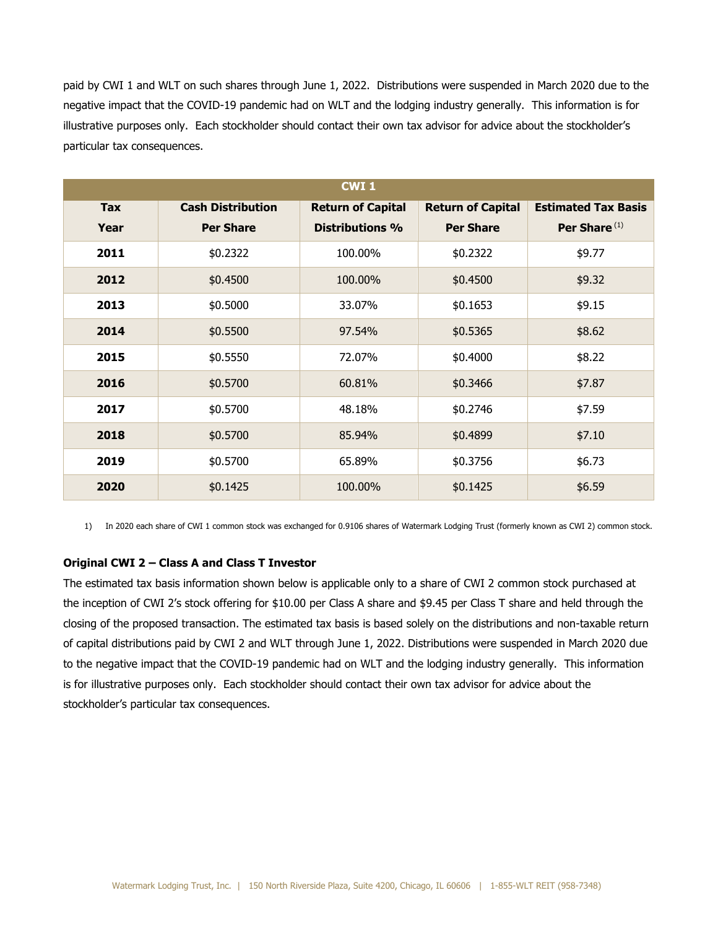paid by CWI 1 and WLT on such shares through June 1, 2022. Distributions were suspended in March 2020 due to the negative impact that the COVID-19 pandemic had on WLT and the lodging industry generally. This information is for illustrative purposes only. Each stockholder should contact their own tax advisor for advice about the stockholder's particular tax consequences.

| <b>CWI1</b> |                          |                          |                          |                            |  |
|-------------|--------------------------|--------------------------|--------------------------|----------------------------|--|
| Tax         | <b>Cash Distribution</b> | <b>Return of Capital</b> | <b>Return of Capital</b> | <b>Estimated Tax Basis</b> |  |
| Year        | <b>Per Share</b>         | <b>Distributions %</b>   | <b>Per Share</b>         | Per Share <sup>(1)</sup>   |  |
| 2011        | \$0.2322                 | 100.00%                  | \$0.2322                 | \$9.77                     |  |
| 2012        | \$0.4500                 | 100.00%                  | \$0.4500                 | \$9.32                     |  |
| 2013        | \$0.5000                 | 33.07%                   | \$0.1653                 | \$9.15                     |  |
| 2014        | \$0.5500                 | 97.54%                   | \$0.5365                 | \$8.62                     |  |
| 2015        | \$0.5550                 | 72.07%                   | \$0.4000                 | \$8.22                     |  |
| 2016        | \$0.5700                 | 60.81%                   | \$0.3466                 | \$7.87                     |  |
| 2017        | \$0.5700                 | 48.18%                   | \$0.2746                 | \$7.59                     |  |
| 2018        | \$0.5700                 | 85.94%                   | \$0.4899                 | \$7.10                     |  |
| 2019        | \$0.5700                 | 65.89%                   | \$0.3756                 | \$6.73                     |  |
| 2020        | \$0.1425                 | 100.00%                  | \$0.1425                 | \$6.59                     |  |

1) In 2020 each share of CWI 1 common stock was exchanged for 0.9106 shares of Watermark Lodging Trust (formerly known as CWI 2) common stock.

### **Original CWI 2 – Class A and Class T Investor**

The estimated tax basis information shown below is applicable only to a share of CWI 2 common stock purchased at the inception of CWI 2's stock offering for \$10.00 per Class A share and \$9.45 per Class T share and held through the closing of the proposed transaction. The estimated tax basis is based solely on the distributions and non-taxable return of capital distributions paid by CWI 2 and WLT through June 1, 2022. Distributions were suspended in March 2020 due to the negative impact that the COVID-19 pandemic had on WLT and the lodging industry generally. This information is for illustrative purposes only. Each stockholder should contact their own tax advisor for advice about the stockholder's particular tax consequences.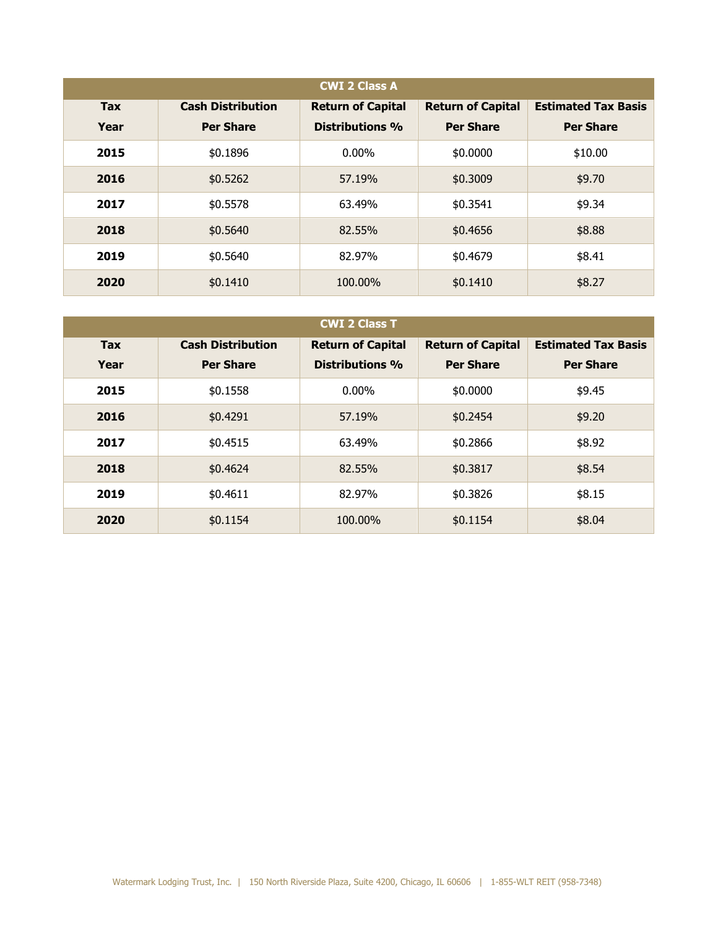| <b>CWI 2 Class A</b> |                                              |                                             |                                              |                                                |  |
|----------------------|----------------------------------------------|---------------------------------------------|----------------------------------------------|------------------------------------------------|--|
| <b>Tax</b><br>Year   | <b>Cash Distribution</b><br><b>Per Share</b> | <b>Return of Capital</b><br>Distributions % | <b>Return of Capital</b><br><b>Per Share</b> | <b>Estimated Tax Basis</b><br><b>Per Share</b> |  |
|                      |                                              |                                             |                                              |                                                |  |
| 2015                 | \$0.1896                                     | $0.00\%$                                    | \$0.0000                                     | \$10.00                                        |  |
| 2016                 | \$0.5262                                     | 57.19%                                      | \$0.3009                                     | \$9.70                                         |  |
| 2017                 | \$0.5578                                     | 63.49%                                      | \$0.3541                                     | \$9.34                                         |  |
| 2018                 | \$0.5640                                     | 82.55%                                      | \$0.4656                                     | \$8.88                                         |  |
| 2019                 | \$0.5640                                     | 82.97%                                      | \$0.4679                                     | \$8.41                                         |  |
| 2020                 | \$0.1410                                     | 100.00%                                     | \$0.1410                                     | \$8.27                                         |  |

| <b>CWI 2 Class T</b> |                                              |                                                    |                                              |                                                |  |
|----------------------|----------------------------------------------|----------------------------------------------------|----------------------------------------------|------------------------------------------------|--|
| <b>Tax</b><br>Year   | <b>Cash Distribution</b><br><b>Per Share</b> | <b>Return of Capital</b><br><b>Distributions %</b> | <b>Return of Capital</b><br><b>Per Share</b> | <b>Estimated Tax Basis</b><br><b>Per Share</b> |  |
| 2015                 | \$0.1558                                     | $0.00\%$                                           | \$0.0000                                     | \$9.45                                         |  |
| 2016                 | \$0.4291                                     | 57.19%                                             | \$0.2454                                     | \$9.20                                         |  |
| 2017                 | \$0.4515                                     | 63.49%                                             | \$0,2866                                     | \$8.92                                         |  |
| 2018                 | \$0.4624                                     | 82.55%                                             | \$0.3817                                     | \$8.54                                         |  |
| 2019                 | \$0.4611                                     | 82.97%                                             | \$0.3826                                     | \$8.15                                         |  |
| 2020                 | \$0.1154                                     | 100.00%                                            | \$0.1154                                     | \$8.04                                         |  |